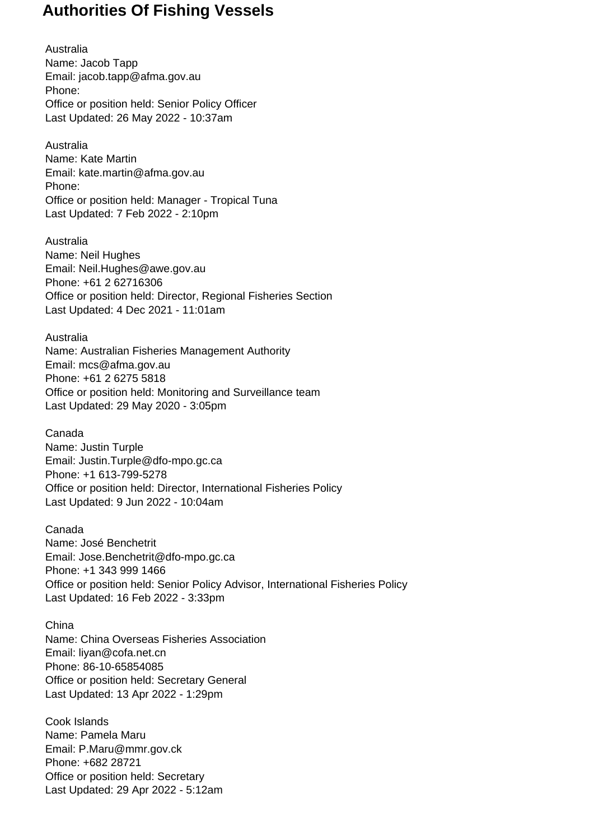Australia Name: Jacob Tapp Email: jacob.tapp@afma.gov.au Phone: Office or position held: Senior Policy Officer Last Updated: 26 May 2022 - 10:37am

Australia Name: Kate Martin Email: kate.martin@afma.gov.au Phone: Office or position held: Manager - Tropical Tuna Last Updated: 7 Feb 2022 - 2:10pm

Australia Name: Neil Hughes Email: Neil.Hughes@awe.gov.au Phone: +61 2 62716306 Office or position held: Director, Regional Fisheries Section Last Updated: 4 Dec 2021 - 11:01am

Australia Name: Australian Fisheries Management Authority Email: mcs@afma.gov.au Phone: +61 2 6275 5818 Office or position held: Monitoring and Surveillance team Last Updated: 29 May 2020 - 3:05pm

Canada Name: Justin Turple Email: Justin.Turple@dfo-mpo.gc.ca Phone: +1 613-799-5278 Office or position held: Director, International Fisheries Policy Last Updated: 9 Jun 2022 - 10:04am

Canada Name: José Benchetrit Email: Jose.Benchetrit@dfo-mpo.gc.ca Phone: +1 343 999 1466 Office or position held: Senior Policy Advisor, International Fisheries Policy Last Updated: 16 Feb 2022 - 3:33pm

China Name: China Overseas Fisheries Association Email: liyan@cofa.net.cn Phone: 86-10-65854085 Office or position held: Secretary General Last Updated: 13 Apr 2022 - 1:29pm

Cook Islands Name: Pamela Maru Email: P.Maru@mmr.gov.ck Phone: +682 28721 Office or position held: Secretary Last Updated: 29 Apr 2022 - 5:12am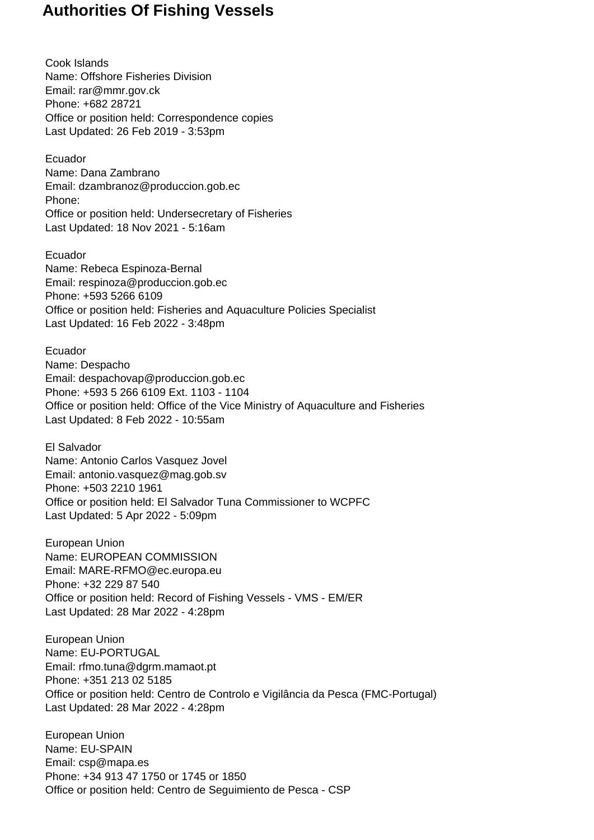Cook Islands Name: Offshore Fisheries Division Email: rar@mmr.gov.ck Phone: +682 28721 Office or position held: Correspondence copies Last Updated: 26 Feb 2019 - 3:53pm

Ecuador Name: Dana Zambrano Email: dzambranoz@produccion.gob.ec Phone: Office or position held: Undersecretary of Fisheries Last Updated: 18 Nov 2021 - 5:16am

Ecuador Name: Rebeca Espinoza-Bernal Email: respinoza@produccion.gob.ec Phone: +593 5266 6109 Office or position held: Fisheries and Aquaculture Policies Specialist Last Updated: 16 Feb 2022 - 3:48pm

Ecuador Name: Despacho Email: despachovap@produccion.gob.ec Phone: +593 5 266 6109 Ext. 1103 - 1104 Office or position held: Office of the Vice Ministry of Aquaculture and Fisheries Last Updated: 8 Feb 2022 - 10:55am

El Salvador Name: Antonio Carlos Vasquez Jovel Email: antonio.vasquez@mag.gob.sv Phone: +503 2210 1961 Office or position held: El Salvador Tuna Commissioner to WCPFC Last Updated: 5 Apr 2022 - 5:09pm

European Union Name: EUROPEAN COMMISSION Email: MARE-RFMO@ec.europa.eu Phone: +32 229 87 540 Office or position held: Record of Fishing Vessels - VMS - EM/ER Last Updated: 28 Mar 2022 - 4:28pm

European Union Name: EU-PORTUGAL Email: rfmo.tuna@dgrm.mamaot.pt Phone: +351 213 02 5185 Office or position held: Centro de Controlo e Vigilância da Pesca (FMC-Portugal) Last Updated: 28 Mar 2022 - 4:28pm

European Union Name: EU-SPAIN Email: csp@mapa.es Phone: +34 913 47 1750 or 1745 or 1850 Office or position held: Centro de Seguimiento de Pesca - CSP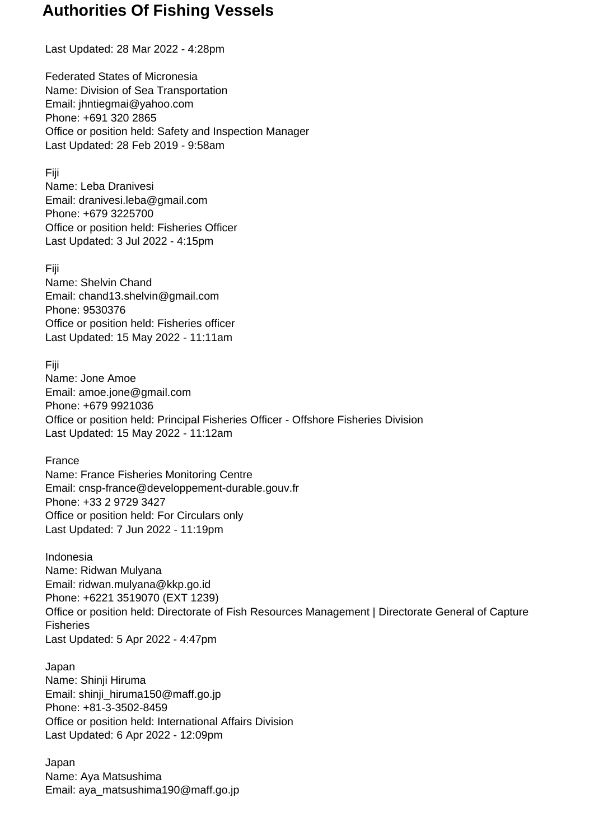Last Updated: 28 Mar 2022 - 4:28pm

Federated States of Micronesia Name: Division of Sea Transportation Email: jhntiegmai@yahoo.com Phone: +691 320 2865 Office or position held: Safety and Inspection Manager Last Updated: 28 Feb 2019 - 9:58am

Fiji

Name: Leba Dranivesi Email: dranivesi.leba@gmail.com Phone: +679 3225700 Office or position held: Fisheries Officer Last Updated: 3 Jul 2022 - 4:15pm

Fiji

Name: Shelvin Chand Email: chand13.shelvin@gmail.com Phone: 9530376 Office or position held: Fisheries officer Last Updated: 15 May 2022 - 11:11am

Fiji

Name: Jone Amoe Email: amoe.jone@gmail.com Phone: +679 9921036 Office or position held: Principal Fisheries Officer - Offshore Fisheries Division Last Updated: 15 May 2022 - 11:12am

France

Name: France Fisheries Monitoring Centre Email: cnsp-france@developpement-durable.gouv.fr Phone: +33 2 9729 3427 Office or position held: For Circulars only Last Updated: 7 Jun 2022 - 11:19pm

Indonesia Name: Ridwan Mulyana Email: ridwan.mulyana@kkp.go.id Phone: +6221 3519070 (EXT 1239) Office or position held: Directorate of Fish Resources Management | Directorate General of Capture **Fisheries** Last Updated: 5 Apr 2022 - 4:47pm

Japan Name: Shinji Hiruma Email: shinji\_hiruma150@maff.go.jp Phone: +81-3-3502-8459 Office or position held: International Affairs Division Last Updated: 6 Apr 2022 - 12:09pm

Japan Name: Aya Matsushima Email: aya\_matsushima190@maff.go.jp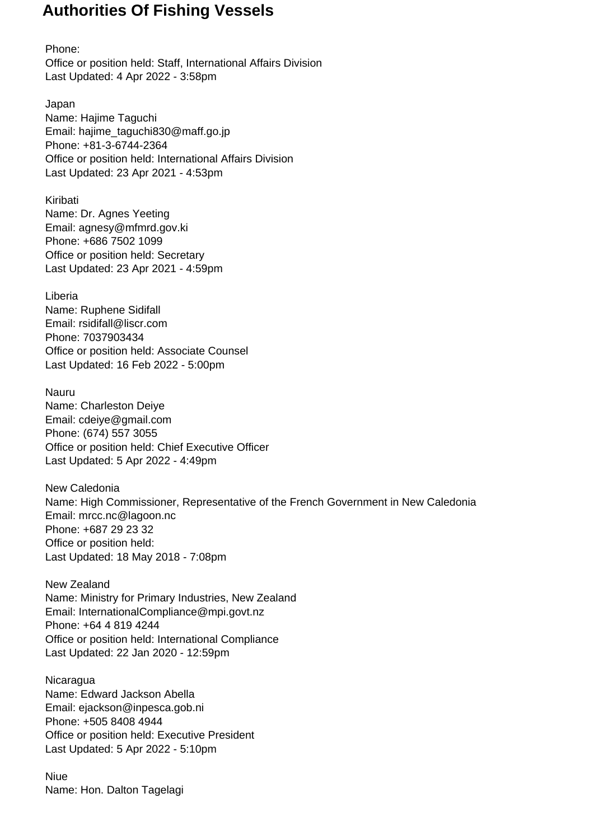Phone: Office or position held: Staff, International Affairs Division Last Updated: 4 Apr 2022 - 3:58pm

Japan Name: Hajime Taguchi Email: hajime\_taguchi830@maff.go.jp Phone: +81-3-6744-2364 Office or position held: International Affairs Division Last Updated: 23 Apr 2021 - 4:53pm

Kiribati Name: Dr. Agnes Yeeting Email: agnesy@mfmrd.gov.ki Phone: +686 7502 1099 Office or position held: Secretary Last Updated: 23 Apr 2021 - 4:59pm

Liberia Name: Ruphene Sidifall Email: rsidifall@liscr.com Phone: 7037903434 Office or position held: Associate Counsel Last Updated: 16 Feb 2022 - 5:00pm

Nauru Name: Charleston Deiye Email: cdeiye@gmail.com Phone: (674) 557 3055 Office or position held: Chief Executive Officer Last Updated: 5 Apr 2022 - 4:49pm

New Caledonia Name: High Commissioner, Representative of the French Government in New Caledonia Email: mrcc.nc@lagoon.nc Phone: +687 29 23 32 Office or position held: Last Updated: 18 May 2018 - 7:08pm

New Zealand Name: Ministry for Primary Industries, New Zealand Email: InternationalCompliance@mpi.govt.nz Phone: +64 4 819 4244 Office or position held: International Compliance Last Updated: 22 Jan 2020 - 12:59pm

**Nicaragua** Name: Edward Jackson Abella Email: ejackson@inpesca.gob.ni Phone: +505 8408 4944 Office or position held: Executive President Last Updated: 5 Apr 2022 - 5:10pm

Niue Name: Hon. Dalton Tagelagi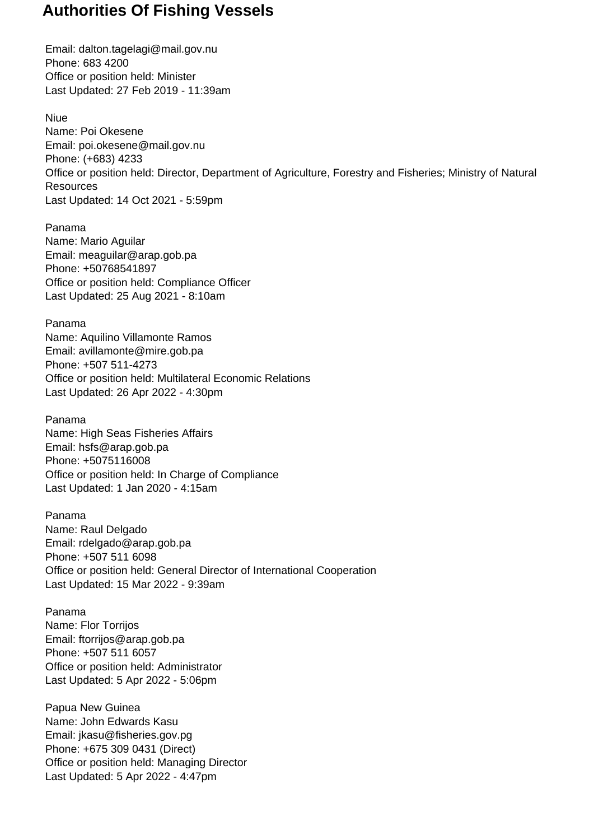Email: dalton.tagelagi@mail.gov.nu Phone: 683 4200 Office or position held: Minister Last Updated: 27 Feb 2019 - 11:39am

Niue Name: Poi Okesene Email: poi.okesene@mail.gov.nu Phone: (+683) 4233 Office or position held: Director, Department of Agriculture, Forestry and Fisheries; Ministry of Natural **Resources** Last Updated: 14 Oct 2021 - 5:59pm

Panama Name: Mario Aguilar Email: meaguilar@arap.gob.pa Phone: +50768541897 Office or position held: Compliance Officer Last Updated: 25 Aug 2021 - 8:10am

Panama Name: Aquilino Villamonte Ramos Email: avillamonte@mire.gob.pa Phone: +507 511-4273 Office or position held: Multilateral Economic Relations Last Updated: 26 Apr 2022 - 4:30pm

Panama Name: High Seas Fisheries Affairs Email: hsfs@arap.gob.pa Phone: +5075116008 Office or position held: In Charge of Compliance Last Updated: 1 Jan 2020 - 4:15am

Panama Name: Raul Delgado Email: rdelgado@arap.gob.pa Phone: +507 511 6098 Office or position held: General Director of International Cooperation Last Updated: 15 Mar 2022 - 9:39am

Panama Name: Flor Torrijos Email: ftorrijos@arap.gob.pa Phone: +507 511 6057 Office or position held: Administrator Last Updated: 5 Apr 2022 - 5:06pm

Papua New Guinea Name: John Edwards Kasu Email: jkasu@fisheries.gov.pg Phone: +675 309 0431 (Direct) Office or position held: Managing Director Last Updated: 5 Apr 2022 - 4:47pm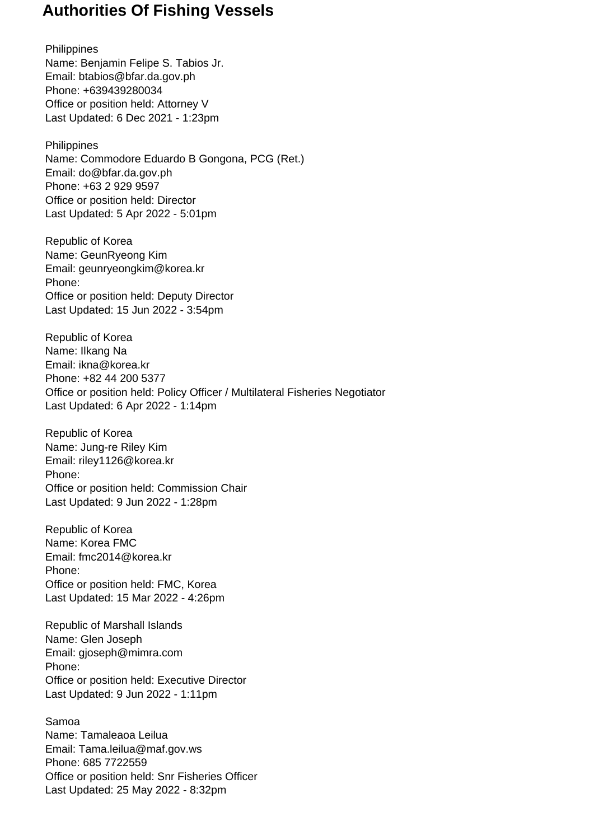**Philippines** Name: Benjamin Felipe S. Tabios Jr. Email: btabios@bfar.da.gov.ph Phone: +639439280034 Office or position held: Attorney V Last Updated: 6 Dec 2021 - 1:23pm

**Philippines** Name: Commodore Eduardo B Gongona, PCG (Ret.) Email: do@bfar.da.gov.ph Phone: +63 2 929 9597 Office or position held: Director Last Updated: 5 Apr 2022 - 5:01pm

Republic of Korea Name: GeunRyeong Kim Email: geunryeongkim@korea.kr Phone: Office or position held: Deputy Director Last Updated: 15 Jun 2022 - 3:54pm

Republic of Korea Name: Ilkang Na Email: ikna@korea.kr Phone: +82 44 200 5377 Office or position held: Policy Officer / Multilateral Fisheries Negotiator Last Updated: 6 Apr 2022 - 1:14pm

Republic of Korea Name: Jung-re Riley Kim Email: riley1126@korea.kr Phone: Office or position held: Commission Chair Last Updated: 9 Jun 2022 - 1:28pm

Republic of Korea Name: Korea FMC Email: fmc2014@korea.kr Phone: Office or position held: FMC, Korea Last Updated: 15 Mar 2022 - 4:26pm

Republic of Marshall Islands Name: Glen Joseph Email: gjoseph@mimra.com Phone: Office or position held: Executive Director Last Updated: 9 Jun 2022 - 1:11pm

Samoa Name: Tamaleaoa Leilua Email: Tama.leilua@maf.gov.ws Phone: 685 7722559 Office or position held: Snr Fisheries Officer Last Updated: 25 May 2022 - 8:32pm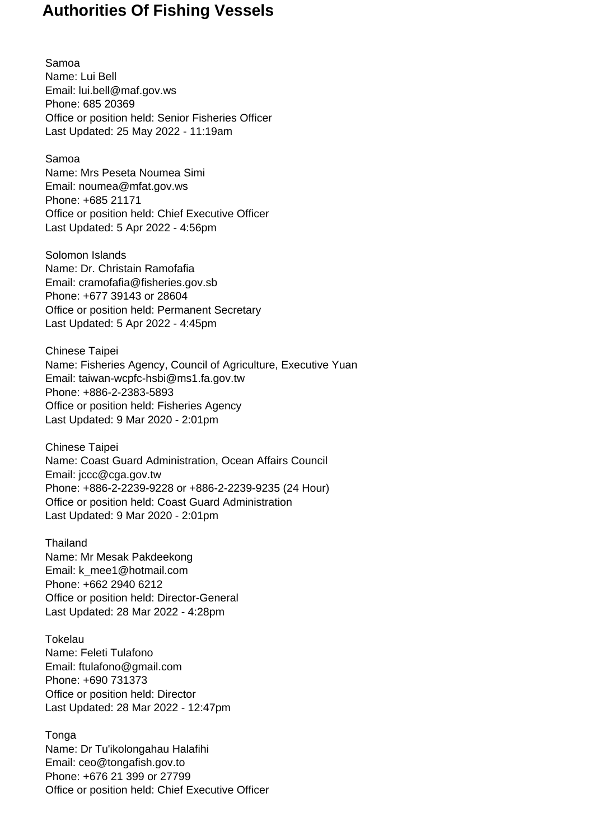Samoa Name: Lui Bell Email: lui.bell@maf.gov.ws Phone: 685 20369 Office or position held: Senior Fisheries Officer Last Updated: 25 May 2022 - 11:19am

Samoa Name: Mrs Peseta Noumea Simi Email: noumea@mfat.gov.ws Phone: +685 21171 Office or position held: Chief Executive Officer Last Updated: 5 Apr 2022 - 4:56pm

Solomon Islands Name: Dr. Christain Ramofafia Email: cramofafia@fisheries.gov.sb Phone: +677 39143 or 28604 Office or position held: Permanent Secretary Last Updated: 5 Apr 2022 - 4:45pm

Chinese Taipei Name: Fisheries Agency, Council of Agriculture, Executive Yuan Email: taiwan-wcpfc-hsbi@ms1.fa.gov.tw Phone: +886-2-2383-5893 Office or position held: Fisheries Agency Last Updated: 9 Mar 2020 - 2:01pm

Chinese Taipei Name: Coast Guard Administration, Ocean Affairs Council Email: jccc@cga.gov.tw Phone: +886-2-2239-9228 or +886-2-2239-9235 (24 Hour) Office or position held: Coast Guard Administration Last Updated: 9 Mar 2020 - 2:01pm

**Thailand** Name: Mr Mesak Pakdeekong Email: k\_mee1@hotmail.com Phone: +662 2940 6212 Office or position held: Director-General Last Updated: 28 Mar 2022 - 4:28pm

**Tokelau** Name: Feleti Tulafono Email: ftulafono@gmail.com Phone: +690 731373 Office or position held: Director Last Updated: 28 Mar 2022 - 12:47pm

Tonga Name: Dr Tu'ikolongahau Halafihi Email: ceo@tongafish.gov.to Phone: +676 21 399 or 27799 Office or position held: Chief Executive Officer